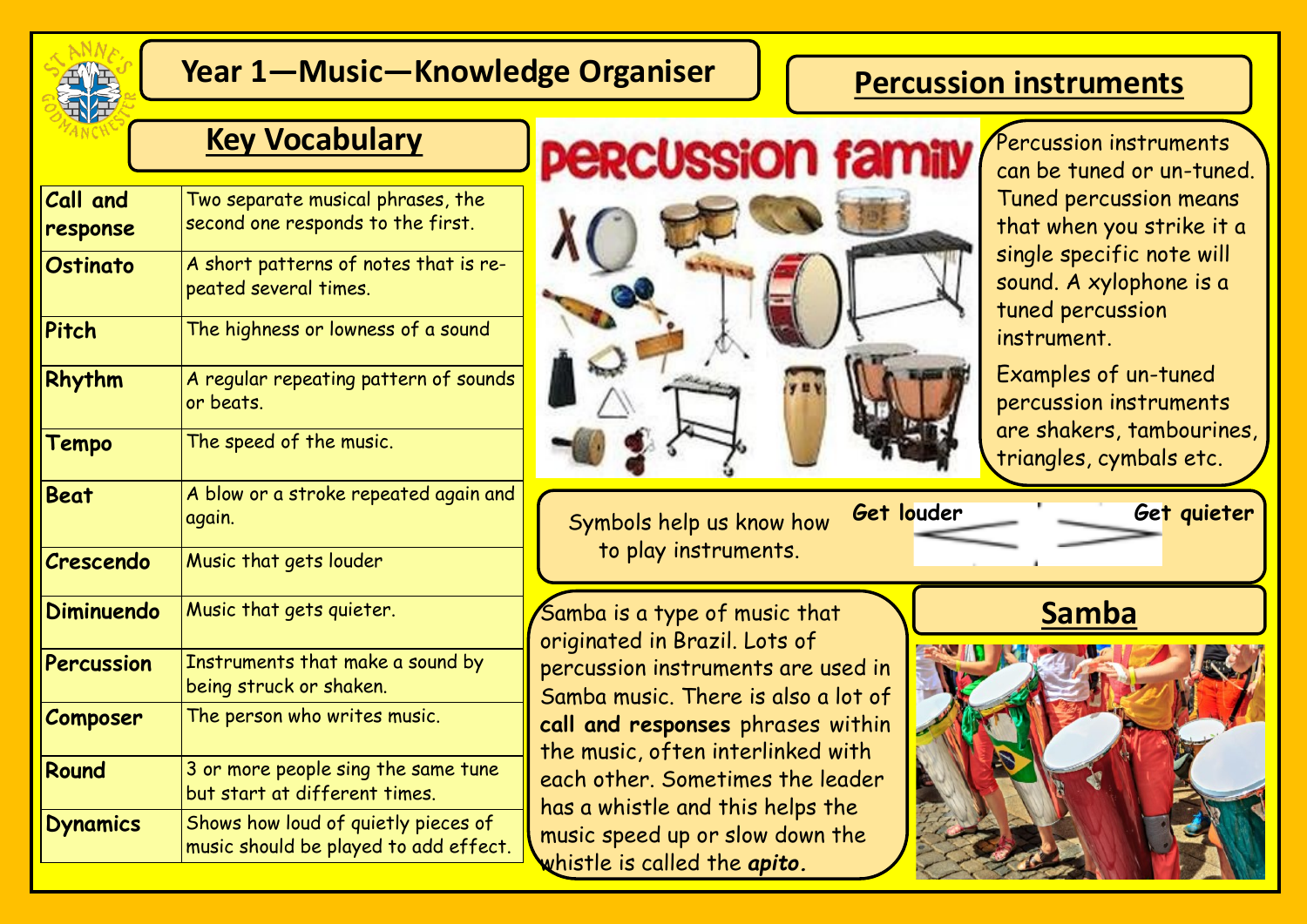

# **Year 1—Music—Knowledge Organiser**

## **Percussion instruments**

| Call and          | Two separate musical phrases, the                                            |
|-------------------|------------------------------------------------------------------------------|
| response          | second one responds to the first.                                            |
| <b>Ostinato</b>   | A short patterns of notes that is re-<br>peated several times.               |
| Pitch             | The highness or lowness of a sound                                           |
| Rhythm            | A regular repeating pattern of sounds<br>or beats.                           |
| <b>Tempo</b>      | The speed of the music.                                                      |
| <b>Beat</b>       | A blow or a stroke repeated again and<br>again.                              |
| Crescendo         | Music that gets louder                                                       |
| <b>Diminuendo</b> | Music that gets quieter.                                                     |
| Percussion        | Instruments that make a sound by<br>being struck or shaken.                  |
| Composer          | The person who writes music.                                                 |
| Round             | 3 or more people sing the same tune<br>but start at different times.         |
| <b>Dynamics</b>   | Shows how loud of quietly pieces of<br>music should be played to add effect. |



**Get louder Get quieter** Symbols help us know how to play instruments.

Samba is a type of music that originated in Brazil. Lots of percussion instruments are used in Samba music. There is also a lot of **call and responses** phrases within the music, often interlinked with each other. Sometimes the leader has a whistle and this helps the music speed up or slow down the whistle is called the *apito.*

can be tuned or un-tuned. Tuned percussion means that when you strike it a single specific note will sound. A xylophone is a tuned percussion instrument.

Examples of un-tuned percussion instruments are shakers, tambourines, triangles, cymbals etc.

**Samba**